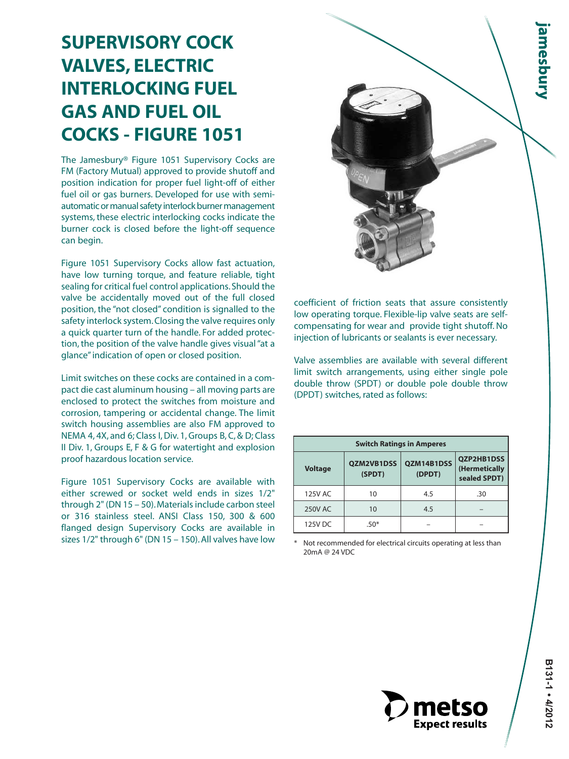# **SUPERVISORY COCK VALVES, ELECTRIC INTERLOCKING FUEL GAS AND FUEL OIL COCKS - FIGURE 1051**

The Jamesbury® Figure 1051 Supervisory Cocks are FM (Factory Mutual) approved to provide shutoff and position indication for proper fuel light-off of either fuel oil or gas burners. Developed for use with semiautomatic or manual safety interlock burner management systems, these electric interlocking cocks indicate the burner cock is closed before the light-off sequence can begin.

Figure 1051 Supervisory Cocks allow fast actuation, have low turning torque, and feature reliable, tight sealing for critical fuel control applications. Should the valve be accidentally moved out of the full closed position, the "not closed" condition is signalled to the safety interlock system. Closing the valve requires only a quick quarter turn of the handle. For added protection, the position of the valve handle gives visual "at a glance" indication of open or closed position.

Limit switches on these cocks are contained in a compact die cast aluminum housing – all moving parts are enclosed to protect the switches from moisture and corrosion, tampering or accidental change. The limit switch housing assemblies are also FM approved to NEMA 4, 4X, and 6; Class I, Div. 1, Groups B, C, & D; Class II Div. 1, Groups E, F & G for watertight and explosion proof hazardous location service.

Figure 1051 Supervisory Cocks are available with either screwed or socket weld ends in sizes 1/2" through 2" (DN 15 – 50). Materials include carbon steel or 316 stainless steel. ANSI Class 150, 300 & 600 flanged design Supervisory Cocks are available in sizes 1/2" through 6" (DN 15 – 150). All valves have low



coefficient of friction seats that assure consistently low operating torque. Flexible-lip valve seats are selfcompensating for wear and provide tight shutoff. No injection of lubricants or sealants is ever necessary.

Valve assemblies are available with several different limit switch arrangements, using either single pole double throw (SPDT) or double pole double throw (DPDT) switches, rated as follows:

| <b>Switch Ratings in Amperes</b> |                      |                      |                                                    |  |  |  |  |  |
|----------------------------------|----------------------|----------------------|----------------------------------------------------|--|--|--|--|--|
| <b>Voltage</b>                   | QZM2VB1DSS<br>(SPDT) | QZM14B1DSS<br>(DPDT) | <b>OZP2HB1DSS</b><br>(Hermetically<br>sealed SPDT) |  |  |  |  |  |
| 125V AC                          | 10                   | 4.5                  | .30                                                |  |  |  |  |  |
| 250V AC                          | 10                   | 4.5                  |                                                    |  |  |  |  |  |
| 125V DC                          | $.50*$               |                      |                                                    |  |  |  |  |  |

\* Not recommended for electrical circuits operating at less than 20mA @ 24 VDC

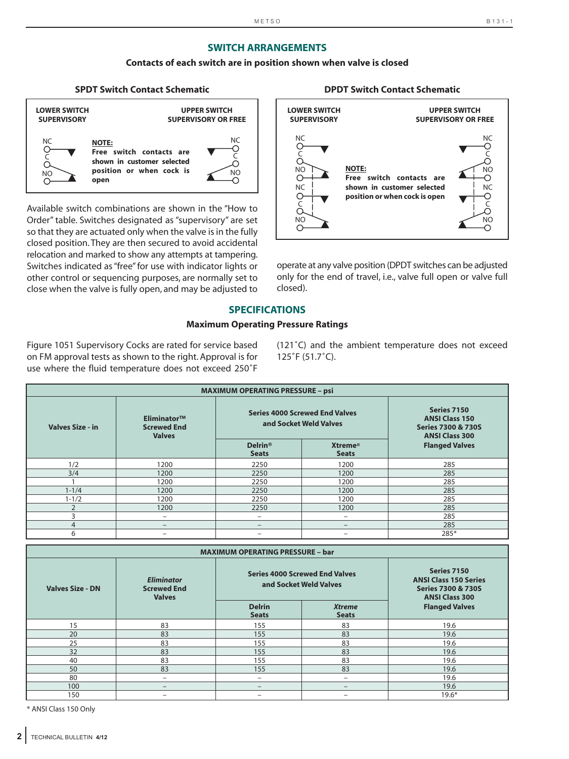#### **SWITCH ARRANGEMENTS**

#### **Contacts of each switch are in position shown when valve is closed**

### **SPDT Switch Contact Schematic DPDT Switch Contact Schematic**



Available switch combinations are shown in the "How to Order" table. Switches designated as "supervisory" are set so that they are actuated only when the valve is in the fully closed position. They are then secured to avoid accidental relocation and marked to show any attempts at tampering. Switches indicated as "free" for use with indicator lights or other control or sequencing purposes, are normally set to close when the valve is fully open, and may be adjusted to

#### **LOWER SWITCH SUPERVISORY UPPER SWITCH SUPERVISORY OR FREE NOTE: Free switch contacts are shown in customer selected position or when cock is open** NC<br>O- $\circ$ NO<br>O-NC o<br>O NO NC<br>-O  $\circ$ NO NC ဝ<br>ဝ် NO<br>-O

operate at any valve position (DPDT switches can be adjusted only for the end of travel, i.e., valve full open or valve full closed).

#### **SPECIFICATIONS**

#### **Maximum Operating Pressure Ratings**

Figure 1051 Supervisory Cocks are rated for service based on FM approval tests as shown to the right. Approval is for use where the fluid temperature does not exceed 250˚F

(121˚C) and the ambient temperature does not exceed 125˚F (51.7˚C).

| <b>MAXIMUM OPERATING PRESSURE - psi</b> |                                                    |                                                                 |                                |                                                                                                |  |  |  |  |  |
|-----------------------------------------|----------------------------------------------------|-----------------------------------------------------------------|--------------------------------|------------------------------------------------------------------------------------------------|--|--|--|--|--|
| <b>Valves Size - in</b>                 | Eliminator™<br><b>Screwed End</b><br><b>Valves</b> | <b>Series 4000 Screwed End Valves</b><br>and Socket Weld Valves |                                | Series 7150<br><b>ANSI Class 150</b><br><b>Series 7300 &amp; 730S</b><br><b>ANSI Class 300</b> |  |  |  |  |  |
|                                         |                                                    | <b>Delrin®</b><br><b>Seats</b>                                  | <b>Xtreme®</b><br><b>Seats</b> | <b>Flanged Valves</b>                                                                          |  |  |  |  |  |
| 1/2                                     | 1200                                               | 2250                                                            | 1200                           | 285                                                                                            |  |  |  |  |  |
| 3/4                                     | 1200                                               | 2250                                                            | 1200                           | 285                                                                                            |  |  |  |  |  |
|                                         | 1200                                               | 2250                                                            | 1200                           | 285                                                                                            |  |  |  |  |  |
| $1 - 1/4$                               | 1200                                               | 2250                                                            | 1200                           | 285                                                                                            |  |  |  |  |  |
| $1 - 1/2$                               | 1200                                               | 2250                                                            | 1200                           | 285                                                                                            |  |  |  |  |  |
| $\overline{2}$                          | 1200                                               | 2250                                                            | 1200                           | 285                                                                                            |  |  |  |  |  |
| 3                                       | -                                                  | $\qquad \qquad -$                                               | $\overline{\phantom{m}}$       | 285                                                                                            |  |  |  |  |  |
| $\overline{4}$                          | —                                                  | $\qquad \qquad -$                                               | $\qquad \qquad -$              | 285                                                                                            |  |  |  |  |  |
| 6                                       |                                                    |                                                                 |                                | 285*                                                                                           |  |  |  |  |  |

| <b>MAXIMUM OPERATING PRESSURE - bar</b> |                                                          |                                                                 |                               |                                                                                                       |  |  |  |  |  |
|-----------------------------------------|----------------------------------------------------------|-----------------------------------------------------------------|-------------------------------|-------------------------------------------------------------------------------------------------------|--|--|--|--|--|
| <b>Valves Size - DN</b>                 | <b>Eliminator</b><br><b>Screwed End</b><br><b>Valves</b> | <b>Series 4000 Screwed End Valves</b><br>and Socket Weld Valves |                               | Series 7150<br><b>ANSI Class 150 Series</b><br><b>Series 7300 &amp; 730S</b><br><b>ANSI Class 300</b> |  |  |  |  |  |
|                                         |                                                          | <b>Delrin</b><br><b>Seats</b>                                   | <b>Xtreme</b><br><b>Seats</b> | <b>Flanged Valves</b>                                                                                 |  |  |  |  |  |
| 15                                      | 83                                                       | 155                                                             | 83                            | 19.6                                                                                                  |  |  |  |  |  |
| 20                                      | 83                                                       | 155                                                             | 83                            | 19.6                                                                                                  |  |  |  |  |  |
| 25                                      | 83                                                       | 155                                                             | 83                            | 19.6                                                                                                  |  |  |  |  |  |
| 32                                      | 83                                                       | 155                                                             | 83                            | 19.6                                                                                                  |  |  |  |  |  |
| 40                                      | 83                                                       | 155                                                             | 83                            | 19.6                                                                                                  |  |  |  |  |  |
| 50                                      | 83                                                       | 155                                                             | 83                            | 19.6                                                                                                  |  |  |  |  |  |
| 80                                      |                                                          |                                                                 | $\overline{\phantom{0}}$      | 19.6                                                                                                  |  |  |  |  |  |
| 100                                     | $\qquad \qquad -$                                        | —                                                               | $\overline{\phantom{0}}$      | 19.6                                                                                                  |  |  |  |  |  |
| 150                                     |                                                          |                                                                 |                               | $19.6*$                                                                                               |  |  |  |  |  |

\* ANSI Class 150 Only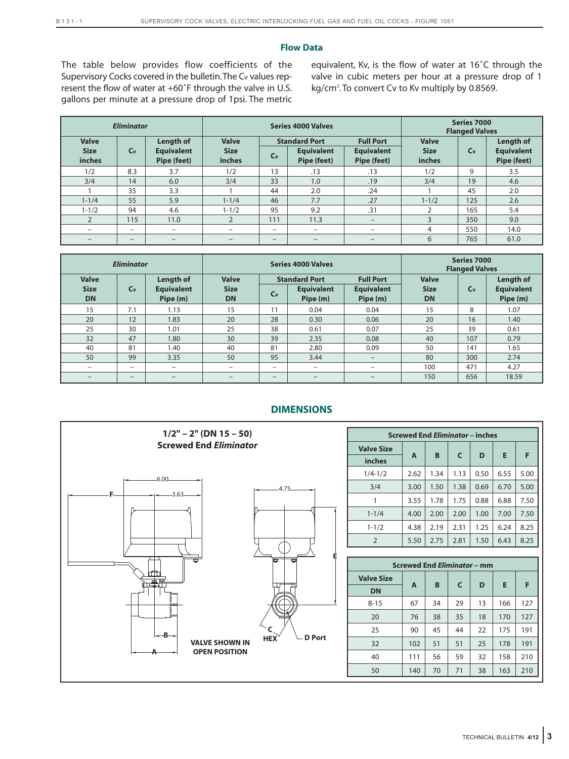#### **Flow Data**

The table below provides flow coefficients of the Supervisory Cocks covered in the bulletin.The Cv values represent the flow of water at +60˚F through the valve in U.S. gallons per minute at a pressure drop of 1psi. The metric equivalent, Kv, is the flow of water at 16˚C through the valve in cubic meters per hour at a pressure drop of 1 kg/cm<sup>2</sup>. To convert Cv to Kv multiply by 0.8569.

| <b>Eliminator</b>                     |                          |                                               | <b>Series 4000 Valves</b>             |                                                                                                                             |                          |                                       | Series 7000<br><b>Flanged Valves</b> |                                                      |      |
|---------------------------------------|--------------------------|-----------------------------------------------|---------------------------------------|-----------------------------------------------------------------------------------------------------------------------------|--------------------------|---------------------------------------|--------------------------------------|------------------------------------------------------|------|
| <b>Valve</b><br><b>Size</b><br>inches | $C_{V}$                  | Length of<br><b>Equivalent</b><br>Pipe (feet) | <b>Valve</b><br><b>Size</b><br>inches | <b>Standard Port</b><br><b>Full Port</b><br><b>Equivalent</b><br><b>Equivalent</b><br>$C_{V}$<br>Pipe (feet)<br>Pipe (feet) |                          | <b>Valve</b><br><b>Size</b><br>inches | C <sub>v</sub>                       | <b>Length of</b><br><b>Equivalent</b><br>Pipe (feet) |      |
| 1/2                                   | 8.3                      | 3.7                                           | 1/2                                   | 13                                                                                                                          | .13                      | .13                                   | 1/2                                  | 9                                                    | 3.5  |
| 3/4                                   | 14                       | 6.0                                           | 3/4                                   | 33                                                                                                                          | 1.0                      | .19                                   | 3/4                                  | 19                                                   | 4.6  |
|                                       | 35                       | 3.3                                           |                                       | 44                                                                                                                          | 2.0                      | .24                                   |                                      | 45                                                   | 2.0  |
| $1 - 1/4$                             | 55                       | 5.9                                           | $1 - 1/4$                             | 46                                                                                                                          | 7.7                      | .27                                   | $1 - 1/2$                            | 125                                                  | 2.6  |
| $1 - 1/2$                             | 94                       | 4.6                                           | $1 - 1/2$                             | 95                                                                                                                          | 9.2                      | .31                                   | ∍                                    | 165                                                  | 5.4  |
| $\overline{2}$                        | 115                      | 11.0                                          | $\overline{2}$                        | 111                                                                                                                         | 11.3                     | $\qquad \qquad -$                     | 3                                    | 350                                                  | 9.0  |
| -                                     |                          | -                                             | $\overline{\phantom{m}}$              | $-$                                                                                                                         | $\overline{\phantom{m}}$ | $\qquad \qquad -$                     | 4                                    | 550                                                  | 14.0 |
|                                       | $\overline{\phantom{m}}$ | $\overline{\phantom{0}}$                      | -                                     | $\qquad \qquad -$                                                                                                           | —                        |                                       | 6                                    | 765                                                  | 61.0 |

| <b>Eliminator</b>                        |                          |                                                   |                                          | Series 4000 Valves                                                                                                    | Series 7000<br><b>Flanged Valves</b> |                                          |                |                                                   |       |
|------------------------------------------|--------------------------|---------------------------------------------------|------------------------------------------|-----------------------------------------------------------------------------------------------------------------------|--------------------------------------|------------------------------------------|----------------|---------------------------------------------------|-------|
| <b>Valve</b><br><b>Size</b><br><b>DN</b> | $C_{V}$                  | <b>Length of</b><br><b>Equivalent</b><br>Pipe (m) | <b>Valve</b><br><b>Size</b><br><b>DN</b> | <b>Full Port</b><br><b>Standard Port</b><br><b>Equivalent</b><br><b>Equivalent</b><br>$C_{V}$<br>Pipe (m)<br>Pipe (m) |                                      | <b>Valve</b><br><b>Size</b><br><b>DN</b> | C <sub>v</sub> | <b>Length of</b><br><b>Equivalent</b><br>Pipe (m) |       |
| 15                                       | 7.1                      | 1.13                                              | 15                                       | 11                                                                                                                    | 0.04                                 | 0.04                                     | 15             | 8                                                 | 1.07  |
| 20                                       | 12                       | 1.83                                              | 20                                       | 28                                                                                                                    | 0.30                                 | 0.06                                     | 20             | 16                                                | 1.40  |
| 25                                       | 30                       | 1.01                                              | 25                                       | 38                                                                                                                    | 0.61                                 | 0.07                                     | 25             | 39                                                | 0.61  |
| 32                                       | 47                       | 1.80                                              | 30                                       | 39                                                                                                                    | 2.35                                 | 0.08                                     | 40             | 107                                               | 0.79  |
| 40                                       | 81                       | 1.40                                              | 40                                       | 81                                                                                                                    | 2.80                                 | 0.09                                     | 50             | 141                                               | 1.65  |
| 50                                       | 99                       | 3.35                                              | 50                                       | 95                                                                                                                    | 3.44                                 | $-$                                      | 80             | 300                                               | 2.74  |
| $\overline{\phantom{m}}$                 | $\overline{\phantom{0}}$ | -                                                 | $\overline{\phantom{m}}$                 | -                                                                                                                     | -                                    | $\qquad \qquad -$                        | 100            | 471                                               | 4.27  |
| -                                        | $\overline{\phantom{0}}$ | -                                                 |                                          | $-$                                                                                                                   | -                                    |                                          | 150            | 656                                               | 18.59 |

## **DIMENSIONS**



| <b>Screwed End Eliminator - inches</b> |      |        |      |            |      |      |  |  |  |
|----------------------------------------|------|--------|------|------------|------|------|--|--|--|
| <b>Valve Size</b>                      |      | B<br>A |      | D          | Е    |      |  |  |  |
| inches                                 |      |        |      | $\epsilon$ |      | F    |  |  |  |
| $1/4 - 1/2$                            | 2.62 | 1.34   | 1.13 | 0.50       | 6.55 | 5.00 |  |  |  |
| 3/4                                    | 3.00 | 1.50   | 1.38 | 0.69       | 6.70 | 5.00 |  |  |  |
| 1                                      | 3.55 | 1.78   | 1.75 | 0.88       | 6.88 | 7.50 |  |  |  |
| $1 - 1/4$                              | 4.00 | 2.00   | 2.00 | 1.00       | 7.00 | 7.50 |  |  |  |
| $1 - 1/2$                              | 4.38 | 2.19   | 2.31 | 1.25       | 6.24 | 8.25 |  |  |  |
| $\overline{2}$                         | 5.50 | 2.75   | 2.81 | 1.50       | 6.43 | 8.25 |  |  |  |

| <b>Screwed End Eliminator - mm</b> |     |    |    |    |     |     |  |  |
|------------------------------------|-----|----|----|----|-----|-----|--|--|
| <b>Valve Size</b>                  |     |    |    |    |     |     |  |  |
| <b>DN</b>                          | A   | B  | C  | D  | Е   | F   |  |  |
| $8 - 15$                           | 67  | 34 | 29 | 13 | 166 | 127 |  |  |
| 20                                 | 76  | 38 | 35 | 18 | 170 | 127 |  |  |
| 25                                 | 90  | 45 | 44 | 22 | 175 | 191 |  |  |
| 32                                 | 102 | 51 | 51 | 25 | 178 | 191 |  |  |
| 40                                 | 111 | 56 | 59 | 32 | 158 | 210 |  |  |
| 50                                 | 140 | 70 | 71 | 38 | 163 | 210 |  |  |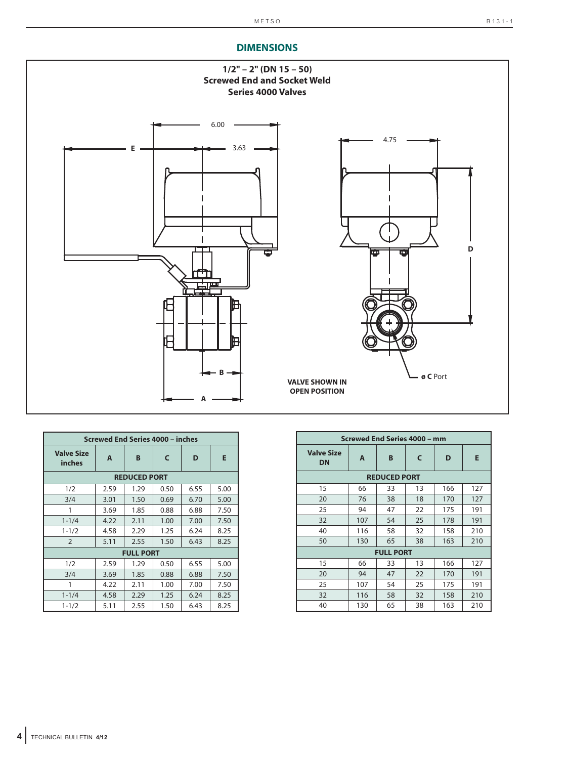# **DIMENSIONS**



| <b>Screwed End Series 4000 - inches</b> |      |                  |      |      |      |  |  |  |  |  |
|-----------------------------------------|------|------------------|------|------|------|--|--|--|--|--|
| <b>Valve Size</b><br>inches             | A    | B                | C    | D    | E    |  |  |  |  |  |
| <b>REDUCED PORT</b>                     |      |                  |      |      |      |  |  |  |  |  |
| 1/2                                     | 2.59 | 1.29             | 0.50 | 6.55 | 5.00 |  |  |  |  |  |
| 3/4                                     | 3.01 | 1.50             | 0.69 | 6.70 | 5.00 |  |  |  |  |  |
| 1                                       | 3.69 | 1.85             | 0.88 | 6.88 | 7.50 |  |  |  |  |  |
| $1 - 1/4$                               | 4.22 | 2.11             | 1.00 | 7.00 | 7.50 |  |  |  |  |  |
| $1 - 1/2$                               | 4.58 | 2.29             | 1.25 | 6.24 | 8.25 |  |  |  |  |  |
| $\overline{2}$                          | 5.11 | 2.55             | 1.50 | 6.43 | 8.25 |  |  |  |  |  |
|                                         |      | <b>FULL PORT</b> |      |      |      |  |  |  |  |  |
| 1/2                                     | 2.59 | 1.29             | 0.50 | 6.55 | 5.00 |  |  |  |  |  |
| 3/4                                     | 3.69 | 1.85             | 0.88 | 6.88 | 7.50 |  |  |  |  |  |
| 1                                       | 4.22 | 2.11             | 1.00 | 7.00 | 7.50 |  |  |  |  |  |
| $1 - 1/4$                               | 4.58 | 2.29             | 1.25 | 6.24 | 8.25 |  |  |  |  |  |
| $1 - 1/2$                               | 5.11 | 2.55             | 1.50 | 6.43 | 8.25 |  |  |  |  |  |

| Screwed End Series 4000 - mm   |     |                  |    |     |     |  |  |  |  |
|--------------------------------|-----|------------------|----|-----|-----|--|--|--|--|
| <b>Valve Size</b><br><b>DN</b> | A   | B                | C  | D   | E   |  |  |  |  |
| <b>REDUCED PORT</b>            |     |                  |    |     |     |  |  |  |  |
| 15                             | 66  | 33               | 13 | 166 | 127 |  |  |  |  |
| 20                             | 76  | 38               | 18 | 170 | 127 |  |  |  |  |
| 25                             | 94  | 47               | 22 | 175 | 191 |  |  |  |  |
| 32                             | 107 | 54               | 25 | 178 | 191 |  |  |  |  |
| 40                             | 116 | 58               | 32 | 158 | 210 |  |  |  |  |
| 50                             | 130 | 65               | 38 | 163 | 210 |  |  |  |  |
|                                |     | <b>FULL PORT</b> |    |     |     |  |  |  |  |
| 15                             | 66  | 33               | 13 | 166 | 127 |  |  |  |  |
| 20                             | 94  | 47               | 22 | 170 | 191 |  |  |  |  |
| 25                             | 107 | 54               | 25 | 175 | 191 |  |  |  |  |
| 32                             | 116 | 58               | 32 | 158 | 210 |  |  |  |  |
| 40                             | 130 | 65               | 38 | 163 | 210 |  |  |  |  |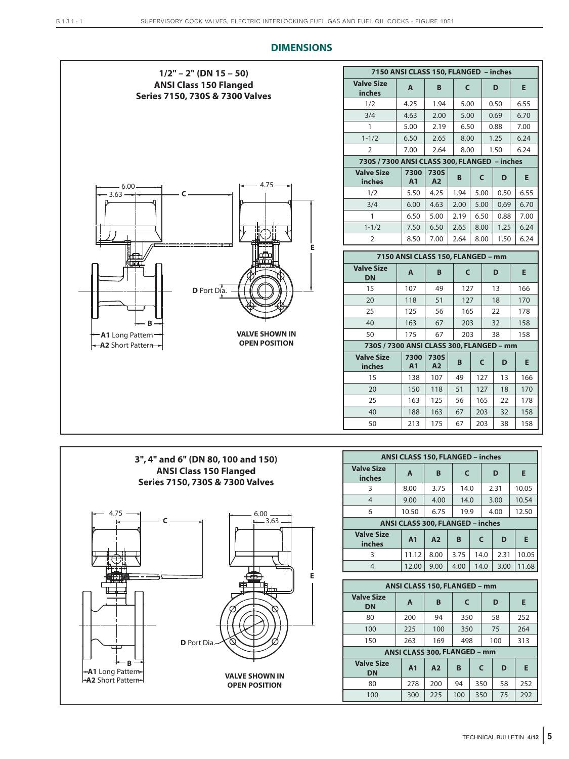



| ANSI CLASS 150, FLANGED - inches |                                  |                |      |      |      |      |       |  |
|----------------------------------|----------------------------------|----------------|------|------|------|------|-------|--|
| <b>Valve Size</b><br>inches      | A                                | B              | C    |      |      | D    | Е     |  |
| 3                                | 8.00                             | 3.75           | 14.0 |      |      | 2.31 | 10.05 |  |
| $\overline{4}$                   | 9.00                             | 4.00           |      | 14.0 |      | 3.00 | 10.54 |  |
| 6                                | 10.50                            | 6.75           | 19.9 |      |      | 4.00 | 12.50 |  |
|                                  | ANSI CLASS 300, FLANGED - inches |                |      |      |      |      |       |  |
| <b>Valve Size</b><br>inches      | A <sub>1</sub>                   | A <sub>2</sub> | B    |      | C    | D    | Е     |  |
| 3                                | 11.12                            | 8.00           | 3.75 |      | 14.0 | 2.31 | 10.05 |  |
| 4                                | 12.00                            | 9.00           | 4.00 |      | 14.0 | 3.00 | 11.68 |  |
|                                  |                                  |                |      |      |      |      |       |  |

| ANSI CLASS 150, FLANGED - mm   |                              |                |              |     |     |     |  |  |
|--------------------------------|------------------------------|----------------|--------------|-----|-----|-----|--|--|
| <b>Valve Size</b><br><b>DN</b> | A                            | В              | $\mathsf{C}$ |     | D   | Е   |  |  |
| 80                             | 200                          | 94<br>350      |              |     | 58  | 252 |  |  |
| 100                            | 225                          | 100            | 350          |     | 75  | 264 |  |  |
| 150                            | 263                          | 169            | 498          |     | 100 | 313 |  |  |
|                                | ANSI CLASS 300, FLANGED - mm |                |              |     |     |     |  |  |
| <b>Valve Size</b><br><b>DN</b> | A <sub>1</sub>               | A <sub>2</sub> | B            | C   | D   | E   |  |  |
| 80                             | 278                          | 200            | 94           | 350 | 58  | 252 |  |  |
| 100                            | 300                          | 225            | 100          | 350 | 75  | 292 |  |  |

## **DIMENSIONS**